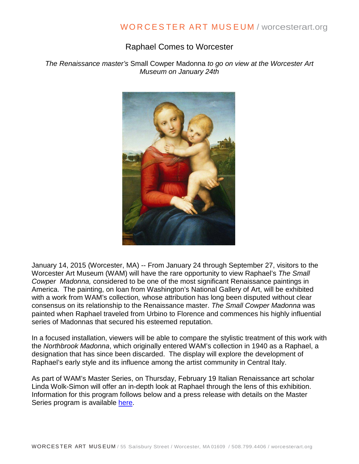## Raphael Comes to Worcester

*The Renaissance master's* Small Cowper Madonna *to go on view at the Worcester Art Museum on January 24th*



January 14, 2015 (Worcester, MA) -- From January 24 through September 27, visitors to the Worcester Art Museum (WAM) will have the rare opportunity to view Raphael's *The Small Cowper Madonna,* considered to be one of the most significant Renaissance paintings in America. The painting, on loan from Washington's National Gallery of Art, will be exhibited with a work from WAM's collection*,* whose attribution has long been disputed without clear consensus on its relationship to the Renaissance master. *The Small Cowper Madonna* was painted when Raphael traveled from Urbino to Florence and commences his highly influential series of Madonnas that secured his esteemed reputation.

In a focused installation, viewers will be able to compare the stylistic treatment of this work with the *Northbrook Madonna*, which originally entered WAM's collection in 1940 as a Raphael, a designation that has since been discarded. The display will explore the development of Raphael's early style and its influence among the artist community in Central Italy.

As part of WAM's Master Series, on Thursday, February 19 Italian Renaissance art scholar Linda Wolk-Simon will offer an in-depth look at Raphael through the lens of this exhibition. Information for this program follows below and a press release with details on the Master Series program is available [here.](http://www.resnicowschroeder.com/rsa/upload/PR/_Filename_Masters%20Series_FINAL.pdf)